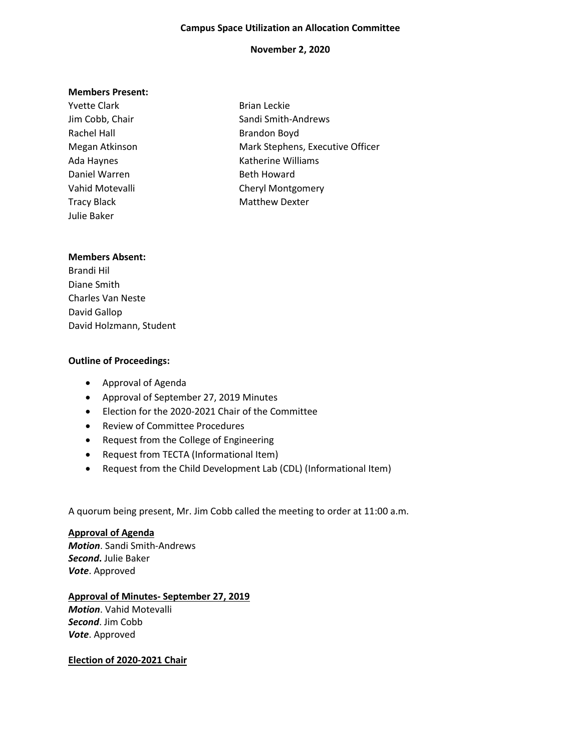#### **Campus Space Utilization an Allocation Committee**

### **November 2, 2020**

#### **Members Present:**

Yvette Clark **Brian Leckie** Rachel Hall Brandon Boyd Daniel Warren Beth Howard Tracy Black Matthew Dexter Julie Baker

Jim Cobb, Chair Sandi Smith-Andrews Megan Atkinson Mark Stephens, Executive Officer Ada Haynes **Katherine Williams** Vahid Motevalli **Vahid Motevalli** Cheryl Montgomery

### **Members Absent:**

Brandi Hil Diane Smith Charles Van Neste David Gallop David Holzmann, Student

### **Outline of Proceedings:**

- Approval of Agenda
- Approval of September 27, 2019 Minutes
- Election for the 2020-2021 Chair of the Committee
- Review of Committee Procedures
- Request from the College of Engineering
- Request from TECTA (Informational Item)
- Request from the Child Development Lab (CDL) (Informational Item)

A quorum being present, Mr. Jim Cobb called the meeting to order at 11:00 a.m.

### **Approval of Agenda**

*Motion*. Sandi Smith-Andrews *Second***.** Julie Baker *Vote*. Approved

### **Approval of Minutes- September 27, 2019**

*Motion*. Vahid Motevalli *Second*. Jim Cobb *Vote*. Approved

### **Election of 2020-2021 Chair**